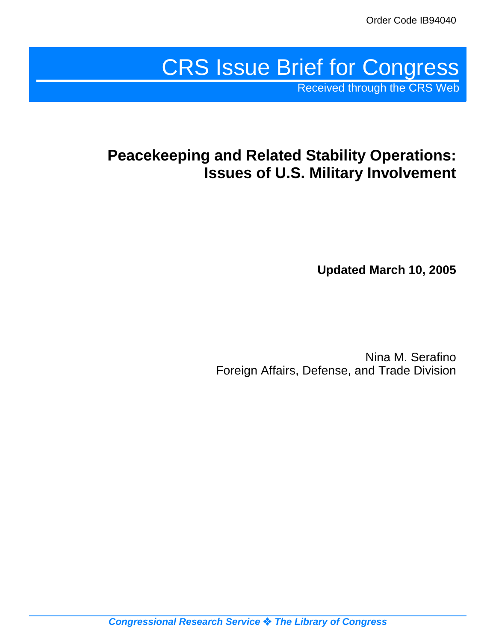# CRS Issue Brief for Congress

Received through the CRS Web

## **Peacekeeping and Related Stability Operations: Issues of U.S. Military Involvement**

**Updated March 10, 2005**

Nina M. Serafino Foreign Affairs, Defense, and Trade Division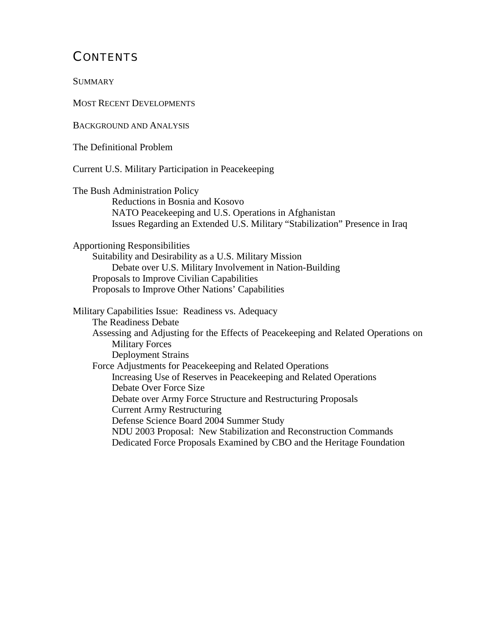## **CONTENTS**

**SUMMARY** 

MOST RECENT DEVELOPMENTS

BACKGROUND AND ANALYSIS

The Definitional Problem

Current U.S. Military Participation in Peacekeeping

The Bush Administration Policy Reductions in Bosnia and Kosovo NATO Peacekeeping and U.S. Operations in Afghanistan Issues Regarding an Extended U.S. Military "Stabilization" Presence in Iraq

Apportioning Responsibilities

Suitability and Desirability as a U.S. Military Mission Debate over U.S. Military Involvement in Nation-Building Proposals to Improve Civilian Capabilities Proposals to Improve Other Nations' Capabilities

Military Capabilities Issue: Readiness vs. Adequacy The Readiness Debate Assessing and Adjusting for the Effects of Peacekeeping and Related Operations on Military Forces Deployment Strains Force Adjustments for Peacekeeping and Related Operations Increasing Use of Reserves in Peacekeeping and Related Operations Debate Over Force Size Debate over Army Force Structure and Restructuring Proposals Current Army Restructuring Defense Science Board 2004 Summer Study NDU 2003 Proposal: New Stabilization and Reconstruction Commands Dedicated Force Proposals Examined by CBO and the Heritage Foundation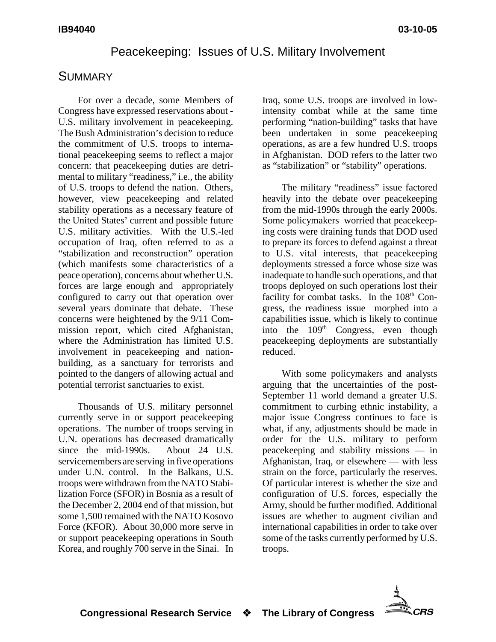## Peacekeeping: Issues of U.S. Military Involvement

## **SUMMARY**

For over a decade, some Members of Congress have expressed reservations about - U.S. military involvement in peacekeeping. The Bush Administration's decision to reduce the commitment of U.S. troops to international peacekeeping seems to reflect a major concern: that peacekeeping duties are detrimental to military "readiness," i.e., the ability of U.S. troops to defend the nation. Others, however, view peacekeeping and related stability operations as a necessary feature of the United States' current and possible future U.S. military activities. With the U.S.-led occupation of Iraq, often referred to as a "stabilization and reconstruction" operation (which manifests some characteristics of a peace operation), concerns about whether U.S. forces are large enough and appropriately configured to carry out that operation over several years dominate that debate. These concerns were heightened by the 9/11 Commission report, which cited Afghanistan, where the Administration has limited U.S. involvement in peacekeeping and nationbuilding, as a sanctuary for terrorists and pointed to the dangers of allowing actual and potential terrorist sanctuaries to exist.

Thousands of U.S. military personnel currently serve in or support peacekeeping operations. The number of troops serving in U.N. operations has decreased dramatically since the mid-1990s. About 24 U.S. servicemembers are serving in five operations under U.N. control. In the Balkans, U.S. troops were withdrawn from the NATO Stabilization Force (SFOR) in Bosnia as a result of the December 2, 2004 end of that mission, but some 1,500 remained with the NATO Kosovo Force (KFOR). About 30,000 more serve in or support peacekeeping operations in South Korea, and roughly 700 serve in the Sinai. In

Iraq, some U.S. troops are involved in lowintensity combat while at the same time performing "nation-building" tasks that have been undertaken in some peacekeeping operations, as are a few hundred U.S. troops in Afghanistan. DOD refers to the latter two as "stabilization" or "stability" operations.

The military "readiness" issue factored heavily into the debate over peacekeeping from the mid-1990s through the early 2000s. Some policymakers worried that peacekeeping costs were draining funds that DOD used to prepare its forces to defend against a threat to U.S. vital interests, that peacekeeping deployments stressed a force whose size was inadequate to handle such operations, and that troops deployed on such operations lost their facility for combat tasks. In the  $108<sup>th</sup>$  Congress, the readiness issue morphed into a capabilities issue, which is likely to continue into the 109<sup>th</sup> Congress, even though peacekeeping deployments are substantially reduced.

With some policymakers and analysts arguing that the uncertainties of the post-September 11 world demand a greater U.S. commitment to curbing ethnic instability, a major issue Congress continues to face is what, if any, adjustments should be made in order for the U.S. military to perform peacekeeping and stability missions — in Afghanistan, Iraq, or elsewhere — with less strain on the force, particularly the reserves. Of particular interest is whether the size and configuration of U.S. forces, especially the Army, should be further modified. Additional issues are whether to augment civilian and international capabilities in order to take over some of the tasks currently performed by U.S. troops.

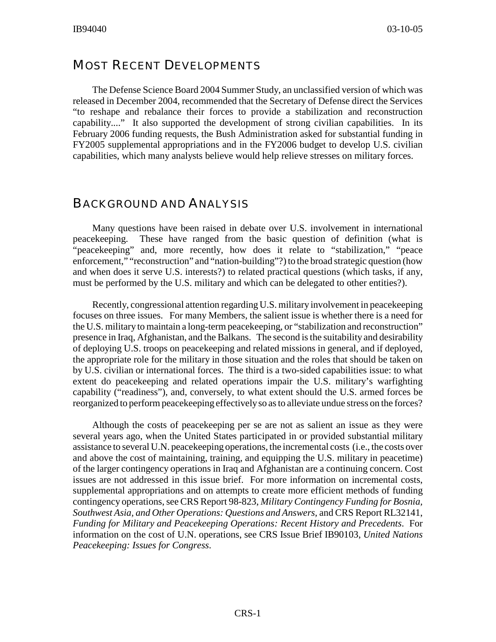## MOST RECENT DEVELOPMENTS

The Defense Science Board 2004 Summer Study, an unclassified version of which was released in December 2004, recommended that the Secretary of Defense direct the Services "to reshape and rebalance their forces to provide a stabilization and reconstruction capability...." It also supported the development of strong civilian capabilities. In its February 2006 funding requests, the Bush Administration asked for substantial funding in FY2005 supplemental appropriations and in the FY2006 budget to develop U.S. civilian capabilities, which many analysts believe would help relieve stresses on military forces.

## BACKGROUND AND ANALYSIS

Many questions have been raised in debate over U.S. involvement in international peacekeeping. These have ranged from the basic question of definition (what is "peacekeeping" and, more recently, how does it relate to "stabilization," "peace enforcement," "reconstruction" and "nation-building"?) to the broad strategic question (how and when does it serve U.S. interests?) to related practical questions (which tasks, if any, must be performed by the U.S. military and which can be delegated to other entities?).

Recently, congressional attention regarding U.S. military involvement in peacekeeping focuses on three issues. For many Members, the salient issue is whether there is a need for the U.S. military to maintain a long-term peacekeeping, or "stabilization and reconstruction" presence in Iraq, Afghanistan, and the Balkans. The second is the suitability and desirability of deploying U.S. troops on peacekeeping and related missions in general, and if deployed, the appropriate role for the military in those situation and the roles that should be taken on by U.S. civilian or international forces. The third is a two-sided capabilities issue: to what extent do peacekeeping and related operations impair the U.S. military's warfighting capability ("readiness"), and, conversely, to what extent should the U.S. armed forces be reorganized to perform peacekeeping effectively so as to alleviate undue stress on the forces?

Although the costs of peacekeeping per se are not as salient an issue as they were several years ago, when the United States participated in or provided substantial military assistance to several U.N. peacekeeping operations, the incremental costs (i.e., the costs over and above the cost of maintaining, training, and equipping the U.S. military in peacetime) of the larger contingency operations in Iraq and Afghanistan are a continuing concern. Cost issues are not addressed in this issue brief. For more information on incremental costs, supplemental appropriations and on attempts to create more efficient methods of funding contingency operations, see CRS Report 98-823, *Military Contingency Funding for Bosnia, Southwest Asia, and Other Operations: Questions and Answers,* and CRS Report RL32141, *Funding for Military and Peacekeeping Operations: Recent History and Precedents*. For information on the cost of U.N. operations, see CRS Issue Brief IB90103, *United Nations Peacekeeping: Issues for Congress*.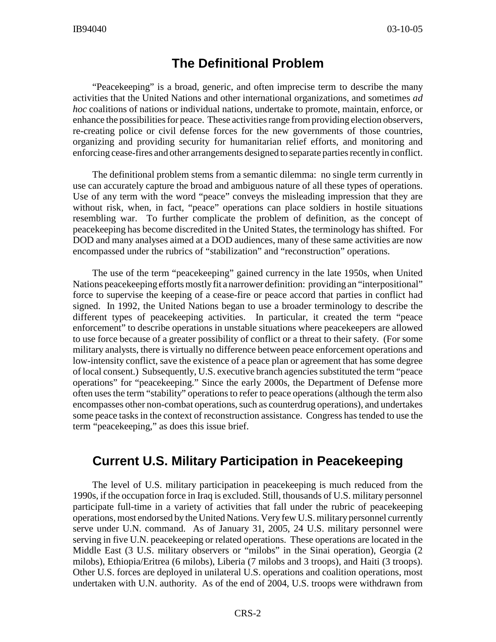## **The Definitional Problem**

"Peacekeeping" is a broad, generic, and often imprecise term to describe the many activities that the United Nations and other international organizations, and sometimes *ad hoc* coalitions of nations or individual nations, undertake to promote, maintain, enforce, or enhance the possibilities for peace. These activities range from providing election observers, re-creating police or civil defense forces for the new governments of those countries, organizing and providing security for humanitarian relief efforts, and monitoring and enforcing cease-fires and other arrangements designed to separate parties recently in conflict.

The definitional problem stems from a semantic dilemma: no single term currently in use can accurately capture the broad and ambiguous nature of all these types of operations. Use of any term with the word "peace" conveys the misleading impression that they are without risk, when, in fact, "peace" operations can place soldiers in hostile situations resembling war. To further complicate the problem of definition, as the concept of peacekeeping has become discredited in the United States, the terminology has shifted. For DOD and many analyses aimed at a DOD audiences, many of these same activities are now encompassed under the rubrics of "stabilization" and "reconstruction" operations.

The use of the term "peacekeeping" gained currency in the late 1950s, when United Nations peacekeeping efforts mostly fit a narrower definition: providing an "interpositional" force to supervise the keeping of a cease-fire or peace accord that parties in conflict had signed. In 1992, the United Nations began to use a broader terminology to describe the different types of peacekeeping activities. In particular, it created the term "peace enforcement" to describe operations in unstable situations where peacekeepers are allowed to use force because of a greater possibility of conflict or a threat to their safety. (For some military analysts, there is virtually no difference between peace enforcement operations and low-intensity conflict, save the existence of a peace plan or agreement that has some degree of local consent.) Subsequently, U.S. executive branch agencies substituted the term "peace operations" for "peacekeeping." Since the early 2000s, the Department of Defense more often uses the term "stability" operations to refer to peace operations (although the term also encompasses other non-combat operations, such as counterdrug operations), and undertakes some peace tasks in the context of reconstruction assistance. Congress has tended to use the term "peacekeeping," as does this issue brief.

## **Current U.S. Military Participation in Peacekeeping**

The level of U.S. military participation in peacekeeping is much reduced from the 1990s, if the occupation force in Iraq is excluded. Still, thousands of U.S. military personnel participate full-time in a variety of activities that fall under the rubric of peacekeeping operations, most endorsed by the United Nations. Very few U.S. military personnel currently serve under U.N. command. As of January 31, 2005, 24 U.S. military personnel were serving in five U.N. peacekeeping or related operations. These operations are located in the Middle East (3 U.S. military observers or "milobs" in the Sinai operation), Georgia (2 milobs), Ethiopia/Eritrea (6 milobs), Liberia (7 milobs and 3 troops), and Haiti (3 troops). Other U.S. forces are deployed in unilateral U.S. operations and coalition operations, most undertaken with U.N. authority. As of the end of 2004, U.S. troops were withdrawn from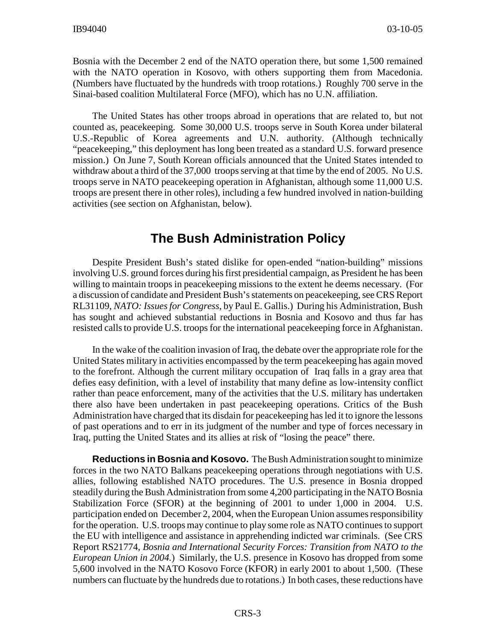Bosnia with the December 2 end of the NATO operation there, but some 1,500 remained with the NATO operation in Kosovo, with others supporting them from Macedonia. (Numbers have fluctuated by the hundreds with troop rotations.) Roughly 700 serve in the Sinai-based coalition Multilateral Force (MFO), which has no U.N. affiliation.

The United States has other troops abroad in operations that are related to, but not counted as, peacekeeping. Some 30,000 U.S. troops serve in South Korea under bilateral U.S.-Republic of Korea agreements and U.N. authority. (Although technically "peacekeeping," this deployment has long been treated as a standard U.S. forward presence mission.) On June 7, South Korean officials announced that the United States intended to withdraw about a third of the 37,000 troops serving at that time by the end of 2005. No U.S. troops serve in NATO peacekeeping operation in Afghanistan, although some 11,000 U.S. troops are present there in other roles), including a few hundred involved in nation-building activities (see section on Afghanistan, below).

## **The Bush Administration Policy**

Despite President Bush's stated dislike for open-ended "nation-building" missions involving U.S. ground forces during his first presidential campaign, as President he has been willing to maintain troops in peacekeeping missions to the extent he deems necessary. (For a discussion of candidate and President Bush's statements on peacekeeping, see CRS Report RL31109, *NATO: Issues for Congress*, by Paul E. Gallis.) During his Administration, Bush has sought and achieved substantial reductions in Bosnia and Kosovo and thus far has resisted calls to provide U.S. troops for the international peacekeeping force in Afghanistan.

In the wake of the coalition invasion of Iraq, the debate over the appropriate role for the United States military in activities encompassed by the term peacekeeping has again moved to the forefront. Although the current military occupation of Iraq falls in a gray area that defies easy definition, with a level of instability that many define as low-intensity conflict rather than peace enforcement, many of the activities that the U.S. military has undertaken there also have been undertaken in past peacekeeping operations. Critics of the Bush Administration have charged that its disdain for peacekeeping has led it to ignore the lessons of past operations and to err in its judgment of the number and type of forces necessary in Iraq, putting the United States and its allies at risk of "losing the peace" there.

**Reductions in Bosnia and Kosovo.** The Bush Administration sought to minimize forces in the two NATO Balkans peacekeeping operations through negotiations with U.S. allies, following established NATO procedures. The U.S. presence in Bosnia dropped steadily during the Bush Administration from some 4,200 participating in the NATO Bosnia Stabilization Force (SFOR) at the beginning of 2001 to under 1,000 in 2004. U.S. participation ended on December 2, 2004, when the European Union assumes responsibility for the operation. U.S. troops may continue to play some role as NATO continues to support the EU with intelligence and assistance in apprehending indicted war criminals. (See CRS Report RS21774, *Bosnia and International Security Forces: Transition from NATO to the European Union in 2004.*) Similarly, the U.S. presence in Kosovo has dropped from some 5,600 involved in the NATO Kosovo Force (KFOR) in early 2001 to about 1,500. (These numbers can fluctuate by the hundreds due to rotations.) In both cases, these reductions have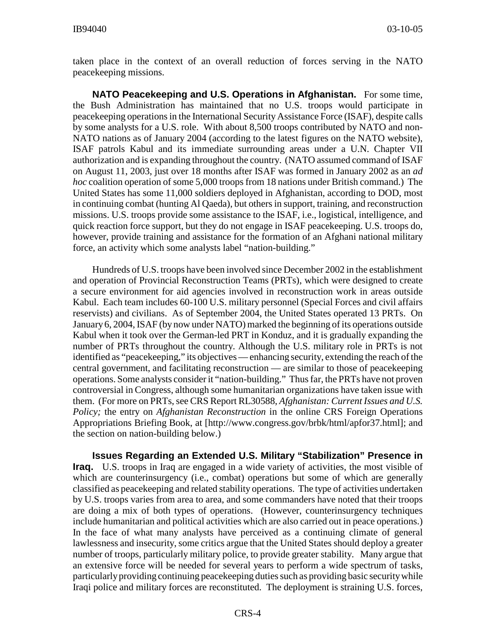taken place in the context of an overall reduction of forces serving in the NATO peacekeeping missions.

**NATO Peacekeeping and U.S. Operations in Afghanistan.** For some time, the Bush Administration has maintained that no U.S. troops would participate in peacekeeping operations in the International Security Assistance Force (ISAF), despite calls by some analysts for a U.S. role. With about 8,500 troops contributed by NATO and non-NATO nations as of January 2004 (according to the latest figures on the NATO website), ISAF patrols Kabul and its immediate surrounding areas under a U.N. Chapter VII authorization and is expanding throughout the country. (NATO assumed command of ISAF on August 11, 2003, just over 18 months after ISAF was formed in January 2002 as an *ad hoc* coalition operation of some 5,000 troops from 18 nations under British command.) The United States has some 11,000 soldiers deployed in Afghanistan, according to DOD, most in continuing combat (hunting Al Qaeda), but others in support, training, and reconstruction missions. U.S. troops provide some assistance to the ISAF, i.e., logistical, intelligence, and quick reaction force support, but they do not engage in ISAF peacekeeping. U.S. troops do, however, provide training and assistance for the formation of an Afghani national military force, an activity which some analysts label "nation-building."

Hundreds of U.S. troops have been involved since December 2002 in the establishment and operation of Provincial Reconstruction Teams (PRTs), which were designed to create a secure environment for aid agencies involved in reconstruction work in areas outside Kabul. Each team includes 60-100 U.S. military personnel (Special Forces and civil affairs reservists) and civilians. As of September 2004, the United States operated 13 PRTs. On January 6, 2004, ISAF (by now under NATO) marked the beginning of its operations outside Kabul when it took over the German-led PRT in Konduz, and it is gradually expanding the number of PRTs throughout the country. Although the U.S. military role in PRTs is not identified as "peacekeeping," its objectives — enhancing security, extending the reach of the central government, and facilitating reconstruction — are similar to those of peacekeeping operations. Some analysts consider it "nation-building." Thus far, the PRTs have not proven controversial in Congress, although some humanitarian organizations have taken issue with them. (For more on PRTs, see CRS Report RL30588, *Afghanistan: Current Issues and U.S. Policy;* the entry on *Afghanistan Reconstruction* in the online CRS Foreign Operations Appropriations Briefing Book, at [http://www.congress.gov/brbk/html/apfor37.html]; and the section on nation-building below.)

**Issues Regarding an Extended U.S. Military "Stabilization" Presence in Iraq.** U.S. troops in Iraq are engaged in a wide variety of activities, the most visible of which are counterinsurgency (i.e., combat) operations but some of which are generally classified as peacekeeping and related stability operations. The type of activities undertaken by U.S. troops varies from area to area, and some commanders have noted that their troops are doing a mix of both types of operations. (However, counterinsurgency techniques include humanitarian and political activities which are also carried out in peace operations.) In the face of what many analysts have perceived as a continuing climate of general lawlessness and insecurity, some critics argue that the United States should deploy a greater number of troops, particularly military police, to provide greater stability. Many argue that an extensive force will be needed for several years to perform a wide spectrum of tasks, particularly providing continuing peacekeeping duties such as providing basic security while Iraqi police and military forces are reconstituted. The deployment is straining U.S. forces,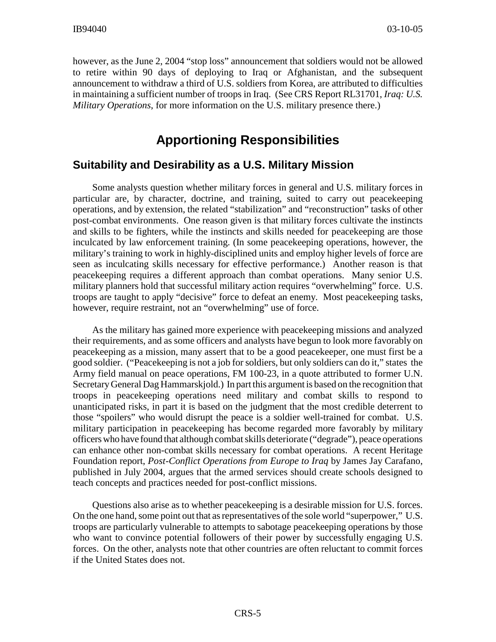however, as the June 2, 2004 "stop loss" announcement that soldiers would not be allowed to retire within 90 days of deploying to Iraq or Afghanistan, and the subsequent announcement to withdraw a third of U.S. soldiers from Korea, are attributed to difficulties in maintaining a sufficient number of troops in Iraq. (See CRS Report RL31701, *Iraq: U.S. Military Operations*, for more information on the U.S. military presence there.)

## **Apportioning Responsibilities**

## **Suitability and Desirability as a U.S. Military Mission**

Some analysts question whether military forces in general and U.S. military forces in particular are, by character, doctrine, and training, suited to carry out peacekeeping operations, and by extension, the related "stabilization" and "reconstruction" tasks of other post-combat environments. One reason given is that military forces cultivate the instincts and skills to be fighters, while the instincts and skills needed for peacekeeping are those inculcated by law enforcement training. (In some peacekeeping operations, however, the military's training to work in highly-disciplined units and employ higher levels of force are seen as inculcating skills necessary for effective performance.) Another reason is that peacekeeping requires a different approach than combat operations. Many senior U.S. military planners hold that successful military action requires "overwhelming" force. U.S. troops are taught to apply "decisive" force to defeat an enemy. Most peacekeeping tasks, however, require restraint, not an "overwhelming" use of force.

As the military has gained more experience with peacekeeping missions and analyzed their requirements, and as some officers and analysts have begun to look more favorably on peacekeeping as a mission, many assert that to be a good peacekeeper, one must first be a good soldier. ("Peacekeeping is not a job for soldiers, but only soldiers can do it," states the Army field manual on peace operations, FM 100-23, in a quote attributed to former U.N. Secretary General Dag Hammarskjold.) In part this argument is based on the recognition that troops in peacekeeping operations need military and combat skills to respond to unanticipated risks, in part it is based on the judgment that the most credible deterrent to those "spoilers" who would disrupt the peace is a soldier well-trained for combat. U.S. military participation in peacekeeping has become regarded more favorably by military officers who have found that although combat skills deteriorate ("degrade"), peace operations can enhance other non-combat skills necessary for combat operations. A recent Heritage Foundation report, *Post-Conflict Operations from Europe to Iraq* by James Jay Carafano, published in July 2004, argues that the armed services should create schools designed to teach concepts and practices needed for post-conflict missions.

Questions also arise as to whether peacekeeping is a desirable mission for U.S. forces. On the one hand, some point out that as representatives of the sole world "superpower," U.S. troops are particularly vulnerable to attempts to sabotage peacekeeping operations by those who want to convince potential followers of their power by successfully engaging U.S. forces. On the other, analysts note that other countries are often reluctant to commit forces if the United States does not.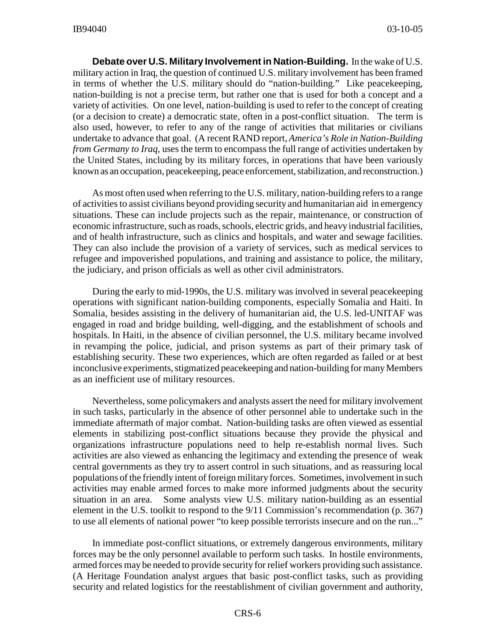**Debate over U.S. Military Involvement in Nation-Building.** In the wake of U.S. military action in Iraq, the question of continued U.S. military involvement has been framed in terms of whether the U.S. military should do "nation-building." Like peacekeeping, nation-building is not a precise term, but rather one that is used for both a concept and a variety of activities. On one level, nation-building is used to refer to the concept of creating (or a decision to create) a democratic state, often in a post-conflict situation. The term is also used, however, to refer to any of the range of activities that militaries or civilians undertake to advance that goal. (A recent RAND report, *America's Role in Nation-Building from Germany to Iraq*, uses the term to encompass the full range of activities undertaken by the United States, including by its military forces, in operations that have been variously known as an occupation, peacekeeping, peace enforcement, stabilization, and reconstruction.)

As most often used when referring to the U.S. military, nation-building refers to a range of activities to assist civilians beyond providing security and humanitarian aid in emergency situations. These can include projects such as the repair, maintenance, or construction of economic infrastructure, such as roads, schools, electric grids, and heavy industrial facilities, and of health infrastructure, such as clinics and hospitals, and water and sewage facilities. They can also include the provision of a variety of services, such as medical services to refugee and impoverished populations, and training and assistance to police, the military, the judiciary, and prison officials as well as other civil administrators.

During the early to mid-1990s, the U.S. military was involved in several peacekeeping operations with significant nation-building components, especially Somalia and Haiti. In Somalia, besides assisting in the delivery of humanitarian aid, the U.S. led-UNITAF was engaged in road and bridge building, well-digging, and the establishment of schools and hospitals. In Haiti, in the absence of civilian personnel, the U.S. military became involved in revamping the police, judicial, and prison systems as part of their primary task of establishing security. These two experiences, which are often regarded as failed or at best inconclusive experiments, stigmatized peacekeeping and nation-building for many Members as an inefficient use of military resources.

Nevertheless, some policymakers and analysts assert the need for military involvement in such tasks, particularly in the absence of other personnel able to undertake such in the immediate aftermath of major combat. Nation-building tasks are often viewed as essential elements in stabilizing post-conflict situations because they provide the physical and organizations infrastructure populations need to help re-establish normal lives. Such activities are also viewed as enhancing the legitimacy and extending the presence of weak central governments as they try to assert control in such situations, and as reassuring local populations of the friendly intent of foreign military forces. Sometimes, involvement in such activities may enable armed forces to make more informed judgments about the security situation in an area. Some analysts view U.S. military nation-building as an essential element in the U.S. toolkit to respond to the 9/11 Commission's recommendation (p. 367) to use all elements of national power "to keep possible terrorists insecure and on the run..."

In immediate post-conflict situations, or extremely dangerous environments, military forces may be the only personnel available to perform such tasks. In hostile environments, armed forces may be needed to provide security for relief workers providing such assistance. (A Heritage Foundation analyst argues that basic post-conflict tasks, such as providing security and related logistics for the reestablishment of civilian government and authority,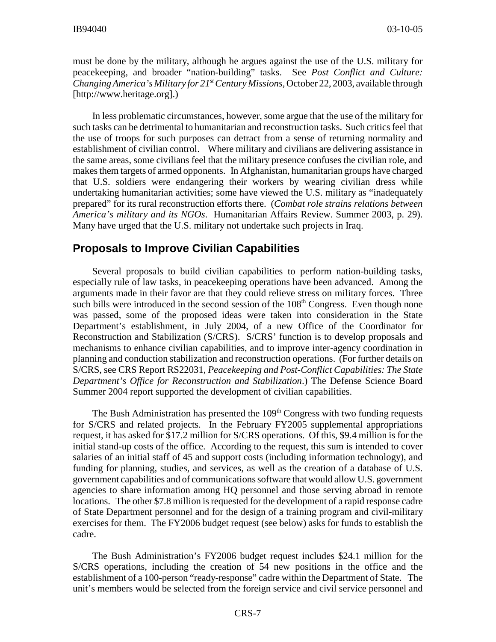must be done by the military, although he argues against the use of the U.S. military for peacekeeping, and broader "nation-building" tasks. See *Post Conflict and Culture: Changing America's Military for 21st Century Missions,* October 22, 2003, available through [http://www.heritage.org].)

In less problematic circumstances, however, some argue that the use of the military for such tasks can be detrimental to humanitarian and reconstruction tasks. Such critics feel that the use of troops for such purposes can detract from a sense of returning normality and establishment of civilian control. Where military and civilians are delivering assistance in the same areas, some civilians feel that the military presence confuses the civilian role, and makes them targets of armed opponents. In Afghanistan, humanitarian groups have charged that U.S. soldiers were endangering their workers by wearing civilian dress while undertaking humanitarian activities; some have viewed the U.S. military as "inadequately prepared" for its rural reconstruction efforts there. (*Combat role strains relations between America's military and its NGOs*. Humanitarian Affairs Review. Summer 2003, p. 29). Many have urged that the U.S. military not undertake such projects in Iraq.

#### **Proposals to Improve Civilian Capabilities**

Several proposals to build civilian capabilities to perform nation-building tasks, especially rule of law tasks, in peacekeeping operations have been advanced. Among the arguments made in their favor are that they could relieve stress on military forces. Three such bills were introduced in the second session of the  $108<sup>th</sup>$  Congress. Even though none was passed, some of the proposed ideas were taken into consideration in the State Department's establishment, in July 2004, of a new Office of the Coordinator for Reconstruction and Stabilization (S/CRS). S/CRS' function is to develop proposals and mechanisms to enhance civilian capabilities, and to improve inter-agency coordination in planning and conduction stabilization and reconstruction operations. (For further details on S/CRS, see CRS Report RS22031, *Peacekeeping and Post-Conflict Capabilities: The State Department's Office for Reconstruction and Stabilization*.) The Defense Science Board Summer 2004 report supported the development of civilian capabilities.

The Bush Administration has presented the  $109<sup>th</sup>$  Congress with two funding requests for S/CRS and related projects. In the February FY2005 supplemental appropriations request, it has asked for \$17.2 million for S/CRS operations. Of this, \$9.4 million is for the initial stand-up costs of the office. According to the request, this sum is intended to cover salaries of an initial staff of 45 and support costs (including information technology), and funding for planning, studies, and services, as well as the creation of a database of U.S. government capabilities and of communications software that would allow U.S. government agencies to share information among HQ personnel and those serving abroad in remote locations. The other \$7.8 million is requested for the development of a rapid response cadre of State Department personnel and for the design of a training program and civil-military exercises for them. The FY2006 budget request (see below) asks for funds to establish the cadre.

The Bush Administration's FY2006 budget request includes \$24.1 million for the S/CRS operations, including the creation of 54 new positions in the office and the establishment of a 100-person "ready-response" cadre within the Department of State. The unit's members would be selected from the foreign service and civil service personnel and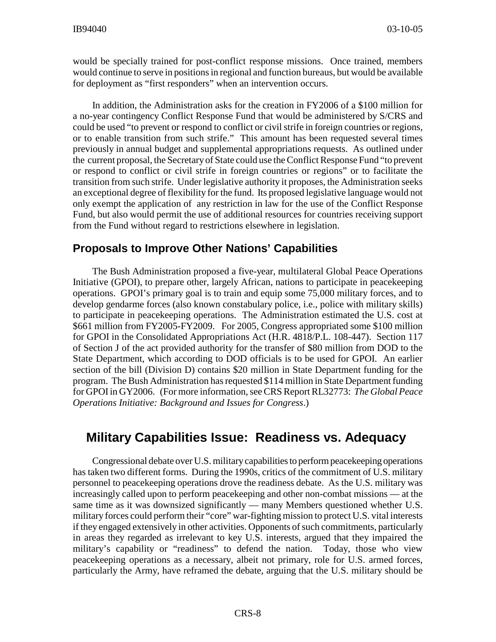would be specially trained for post-conflict response missions. Once trained, members would continue to serve in positions in regional and function bureaus, but would be available for deployment as "first responders" when an intervention occurs.

In addition, the Administration asks for the creation in FY2006 of a \$100 million for a no-year contingency Conflict Response Fund that would be administered by S/CRS and could be used "to prevent or respond to conflict or civil strife in foreign countries or regions, or to enable transition from such strife." This amount has been requested several times previously in annual budget and supplemental appropriations requests. As outlined under the current proposal, the Secretary of State could use the Conflict Response Fund "to prevent or respond to conflict or civil strife in foreign countries or regions" or to facilitate the transition from such strife. Under legislative authority it proposes, the Administration seeks an exceptional degree of flexibility for the fund. Its proposed legislative language would not only exempt the application of any restriction in law for the use of the Conflict Response Fund, but also would permit the use of additional resources for countries receiving support from the Fund without regard to restrictions elsewhere in legislation.

#### **Proposals to Improve Other Nations' Capabilities**

The Bush Administration proposed a five-year, multilateral Global Peace Operations Initiative (GPOI), to prepare other, largely African, nations to participate in peacekeeping operations. GPOI's primary goal is to train and equip some 75,000 military forces, and to develop gendarme forces (also known constabulary police, i.e., police with military skills) to participate in peacekeeping operations. The Administration estimated the U.S. cost at \$661 million from FY2005-FY2009. For 2005, Congress appropriated some \$100 million for GPOI in the Consolidated Appropriations Act (H.R. 4818/P.L. 108-447). Section 117 of Section J of the act provided authority for the transfer of \$80 million from DOD to the State Department, which according to DOD officials is to be used for GPOI. An earlier section of the bill (Division D) contains \$20 million in State Department funding for the program. The Bush Administration has requested \$114 million in State Department funding for GPOI in GY2006. (For more information, see CRS Report RL32773: *The Global Peace Operations Initiative: Background and Issues for Congress*.)

## **Military Capabilities Issue: Readiness vs. Adequacy**

Congressional debate over U.S. military capabilities to perform peacekeeping operations has taken two different forms. During the 1990s, critics of the commitment of U.S. military personnel to peacekeeping operations drove the readiness debate. As the U.S. military was increasingly called upon to perform peacekeeping and other non-combat missions — at the same time as it was downsized significantly — many Members questioned whether U.S. military forces could perform their "core" war-fighting mission to protect U.S. vital interests if they engaged extensively in other activities. Opponents of such commitments, particularly in areas they regarded as irrelevant to key U.S. interests, argued that they impaired the military's capability or "readiness" to defend the nation. Today, those who view peacekeeping operations as a necessary, albeit not primary, role for U.S. armed forces, particularly the Army, have reframed the debate, arguing that the U.S. military should be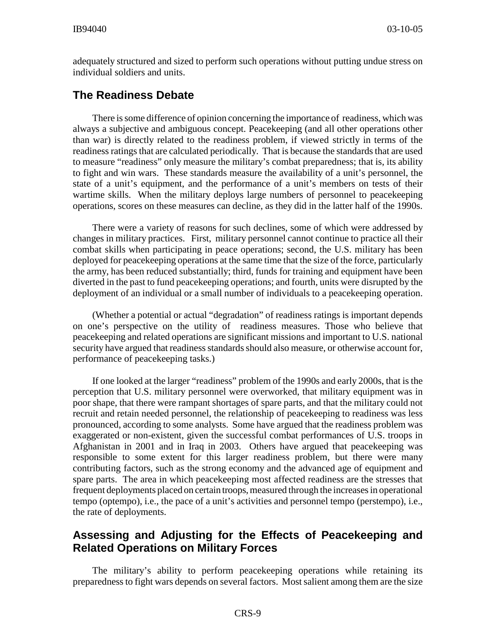adequately structured and sized to perform such operations without putting undue stress on individual soldiers and units.

## **The Readiness Debate**

There is some difference of opinion concerning the importance of readiness, which was always a subjective and ambiguous concept. Peacekeeping (and all other operations other than war) is directly related to the readiness problem, if viewed strictly in terms of the readiness ratings that are calculated periodically. That is because the standards that are used to measure "readiness" only measure the military's combat preparedness; that is, its ability to fight and win wars. These standards measure the availability of a unit's personnel, the state of a unit's equipment, and the performance of a unit's members on tests of their wartime skills. When the military deploys large numbers of personnel to peacekeeping operations, scores on these measures can decline, as they did in the latter half of the 1990s.

There were a variety of reasons for such declines, some of which were addressed by changes in military practices. First, military personnel cannot continue to practice all their combat skills when participating in peace operations; second, the U.S. military has been deployed for peacekeeping operations at the same time that the size of the force, particularly the army, has been reduced substantially; third, funds for training and equipment have been diverted in the past to fund peacekeeping operations; and fourth, units were disrupted by the deployment of an individual or a small number of individuals to a peacekeeping operation.

(Whether a potential or actual "degradation" of readiness ratings is important depends on one's perspective on the utility of readiness measures. Those who believe that peacekeeping and related operations are significant missions and important to U.S. national security have argued that readiness standards should also measure, or otherwise account for, performance of peacekeeping tasks.)

If one looked at the larger "readiness" problem of the 1990s and early 2000s, that is the perception that U.S. military personnel were overworked, that military equipment was in poor shape, that there were rampant shortages of spare parts, and that the military could not recruit and retain needed personnel, the relationship of peacekeeping to readiness was less pronounced, according to some analysts. Some have argued that the readiness problem was exaggerated or non-existent, given the successful combat performances of U.S. troops in Afghanistan in 2001 and in Iraq in 2003. Others have argued that peacekeeping was responsible to some extent for this larger readiness problem, but there were many contributing factors, such as the strong economy and the advanced age of equipment and spare parts. The area in which peacekeeping most affected readiness are the stresses that frequent deployments placed on certain troops, measured through the increases in operational tempo (optempo), i.e., the pace of a unit's activities and personnel tempo (perstempo), i.e., the rate of deployments.

## **Assessing and Adjusting for the Effects of Peacekeeping and Related Operations on Military Forces**

The military's ability to perform peacekeeping operations while retaining its preparedness to fight wars depends on several factors. Most salient among them are the size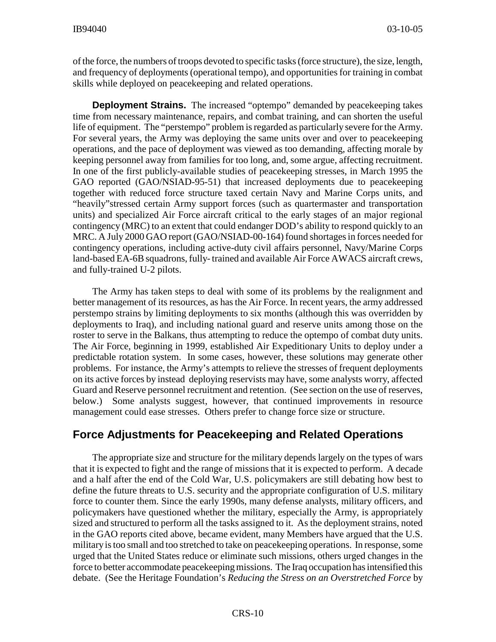of the force, the numbers of troops devoted to specific tasks (force structure), the size, length, and frequency of deployments (operational tempo), and opportunities for training in combat skills while deployed on peacekeeping and related operations.

**Deployment Strains.** The increased "optempo" demanded by peacekeeping takes time from necessary maintenance, repairs, and combat training, and can shorten the useful life of equipment. The "perstempo" problem is regarded as particularly severe for the Army. For several years, the Army was deploying the same units over and over to peacekeeping operations, and the pace of deployment was viewed as too demanding, affecting morale by keeping personnel away from families for too long, and, some argue, affecting recruitment. In one of the first publicly-available studies of peacekeeping stresses, in March 1995 the GAO reported (GAO/NSIAD-95-51) that increased deployments due to peacekeeping together with reduced force structure taxed certain Navy and Marine Corps units, and "heavily"stressed certain Army support forces (such as quartermaster and transportation units) and specialized Air Force aircraft critical to the early stages of an major regional contingency (MRC) to an extent that could endanger DOD's ability to respond quickly to an MRC. A July 2000 GAO report (GAO/NSIAD-00-164) found shortages in forces needed for contingency operations, including active-duty civil affairs personnel, Navy/Marine Corps land-based EA-6B squadrons, fully- trained and available Air Force AWACS aircraft crews, and fully-trained U-2 pilots.

The Army has taken steps to deal with some of its problems by the realignment and better management of its resources, as has the Air Force. In recent years, the army addressed perstempo strains by limiting deployments to six months (although this was overridden by deployments to Iraq), and including national guard and reserve units among those on the roster to serve in the Balkans, thus attempting to reduce the optempo of combat duty units. The Air Force, beginning in 1999, established Air Expeditionary Units to deploy under a predictable rotation system. In some cases, however, these solutions may generate other problems. For instance, the Army's attempts to relieve the stresses of frequent deployments on its active forces by instead deploying reservists may have, some analysts worry, affected Guard and Reserve personnel recruitment and retention. (See section on the use of reserves, below.) Some analysts suggest, however, that continued improvements in resource management could ease stresses. Others prefer to change force size or structure.

## **Force Adjustments for Peacekeeping and Related Operations**

The appropriate size and structure for the military depends largely on the types of wars that it is expected to fight and the range of missions that it is expected to perform. A decade and a half after the end of the Cold War, U.S. policymakers are still debating how best to define the future threats to U.S. security and the appropriate configuration of U.S. military force to counter them. Since the early 1990s, many defense analysts, military officers, and policymakers have questioned whether the military, especially the Army, is appropriately sized and structured to perform all the tasks assigned to it. As the deployment strains, noted in the GAO reports cited above, became evident, many Members have argued that the U.S. military is too small and too stretched to take on peacekeeping operations. In response, some urged that the United States reduce or eliminate such missions, others urged changes in the force to better accommodate peacekeeping missions. The Iraq occupation has intensified this debate. (See the Heritage Foundation's *Reducing the Stress on an Overstretched Force* by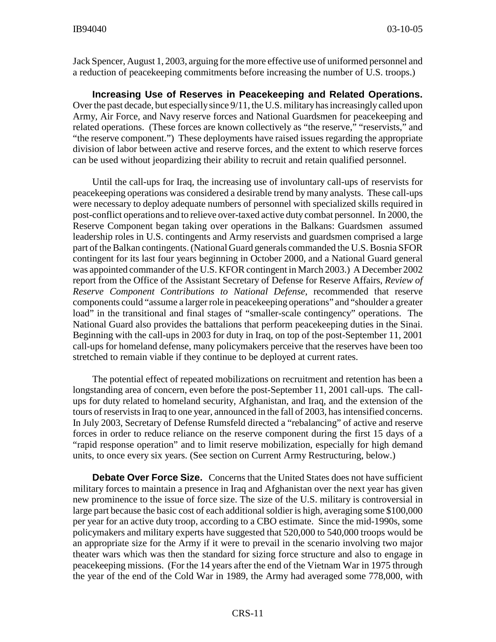Jack Spencer, August 1, 2003, arguing for the more effective use of uniformed personnel and a reduction of peacekeeping commitments before increasing the number of U.S. troops.)

**Increasing Use of Reserves in Peacekeeping and Related Operations.** Over the past decade, but especially since 9/11, the U.S. military has increasingly called upon Army, Air Force, and Navy reserve forces and National Guardsmen for peacekeeping and related operations. (These forces are known collectively as "the reserve," "reservists," and "the reserve component.") These deployments have raised issues regarding the appropriate division of labor between active and reserve forces, and the extent to which reserve forces can be used without jeopardizing their ability to recruit and retain qualified personnel.

Until the call-ups for Iraq, the increasing use of involuntary call-ups of reservists for peacekeeping operations was considered a desirable trend by many analysts. These call-ups were necessary to deploy adequate numbers of personnel with specialized skills required in post-conflict operations and to relieve over-taxed active duty combat personnel. In 2000, the Reserve Component began taking over operations in the Balkans: Guardsmen assumed leadership roles in U.S. contingents and Army reservists and guardsmen comprised a large part of the Balkan contingents. (National Guard generals commanded the U.S. Bosnia SFOR contingent for its last four years beginning in October 2000, and a National Guard general was appointed commander of the U.S. KFOR contingent in March 2003.) A December 2002 report from the Office of the Assistant Secretary of Defense for Reserve Affairs, *Review of Reserve Component Contributions to National Defense*, recommended that reserve components could "assume a larger role in peacekeeping operations" and "shoulder a greater load" in the transitional and final stages of "smaller-scale contingency" operations. The National Guard also provides the battalions that perform peacekeeping duties in the Sinai. Beginning with the call-ups in 2003 for duty in Iraq, on top of the post-September 11, 2001 call-ups for homeland defense, many policymakers perceive that the reserves have been too stretched to remain viable if they continue to be deployed at current rates.

The potential effect of repeated mobilizations on recruitment and retention has been a longstanding area of concern, even before the post-September 11, 2001 call-ups. The callups for duty related to homeland security, Afghanistan, and Iraq, and the extension of the tours of reservists in Iraq to one year, announced in the fall of 2003, has intensified concerns. In July 2003, Secretary of Defense Rumsfeld directed a "rebalancing" of active and reserve forces in order to reduce reliance on the reserve component during the first 15 days of a "rapid response operation" and to limit reserve mobilization, especially for high demand units, to once every six years. (See section on Current Army Restructuring, below.)

**Debate Over Force Size.** Concerns that the United States does not have sufficient military forces to maintain a presence in Iraq and Afghanistan over the next year has given new prominence to the issue of force size. The size of the U.S. military is controversial in large part because the basic cost of each additional soldier is high, averaging some \$100,000 per year for an active duty troop, according to a CBO estimate. Since the mid-1990s, some policymakers and military experts have suggested that 520,000 to 540,000 troops would be an appropriate size for the Army if it were to prevail in the scenario involving two major theater wars which was then the standard for sizing force structure and also to engage in peacekeeping missions. (For the 14 years after the end of the Vietnam War in 1975 through the year of the end of the Cold War in 1989, the Army had averaged some 778,000, with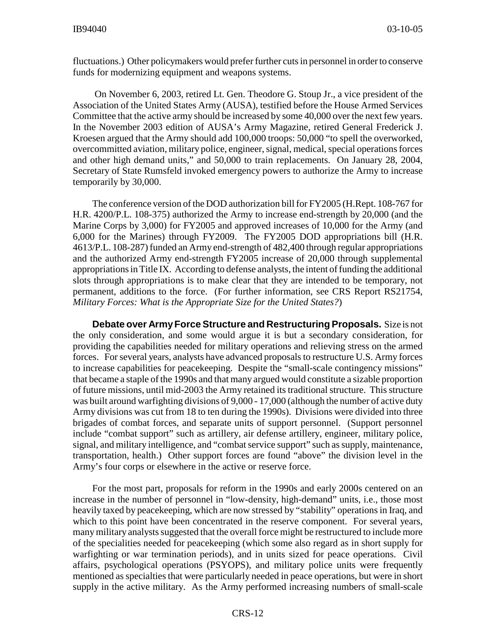fluctuations.) Other policymakers would prefer further cuts in personnel in order to conserve funds for modernizing equipment and weapons systems.

 On November 6, 2003, retired Lt. Gen. Theodore G. Stoup Jr., a vice president of the Association of the United States Army (AUSA), testified before the House Armed Services Committee that the active army should be increased by some 40,000 over the next few years. In the November 2003 edition of AUSA's Army Magazine, retired General Frederick J. Kroesen argued that the Army should add 100,000 troops: 50,000 "to spell the overworked, overcommitted aviation, military police, engineer, signal, medical, special operations forces and other high demand units," and 50,000 to train replacements. On January 28, 2004, Secretary of State Rumsfeld invoked emergency powers to authorize the Army to increase temporarily by 30,000.

The conference version of the DOD authorization bill for FY2005 (H.Rept. 108-767 for H.R. 4200/P.L. 108-375) authorized the Army to increase end-strength by 20,000 (and the Marine Corps by 3,000) for FY2005 and approved increases of 10,000 for the Army (and 6,000 for the Marines) through FY2009. The FY2005 DOD appropriations bill (H.R. 4613/P.L. 108-287) funded an Army end-strength of 482,400 through regular appropriations and the authorized Army end-strength FY2005 increase of 20,000 through supplemental appropriations in Title IX. According to defense analysts, the intent of funding the additional slots through appropriations is to make clear that they are intended to be temporary, not permanent, additions to the force. (For further information, see CRS Report RS21754, *Military Forces: What is the Appropriate Size for the United States?*)

**Debate over Army Force Structure and Restructuring Proposals.** Size is not the only consideration, and some would argue it is but a secondary consideration, for providing the capabilities needed for military operations and relieving stress on the armed forces. For several years, analysts have advanced proposals to restructure U.S. Army forces to increase capabilities for peacekeeping. Despite the "small-scale contingency missions" that became a staple of the 1990s and that many argued would constitute a sizable proportion of future missions, until mid-2003 the Army retained its traditional structure. This structure was built around warfighting divisions of 9,000 - 17,000 (although the number of active duty Army divisions was cut from 18 to ten during the 1990s). Divisions were divided into three brigades of combat forces, and separate units of support personnel. (Support personnel include "combat support" such as artillery, air defense artillery, engineer, military police, signal, and military intelligence, and "combat service support" such as supply, maintenance, transportation, health.) Other support forces are found "above" the division level in the Army's four corps or elsewhere in the active or reserve force.

For the most part, proposals for reform in the 1990s and early 2000s centered on an increase in the number of personnel in "low-density, high-demand" units, i.e., those most heavily taxed by peacekeeping, which are now stressed by "stability" operations in Iraq, and which to this point have been concentrated in the reserve component. For several years, many military analysts suggested that the overall force might be restructured to include more of the specialities needed for peacekeeping (which some also regard as in short supply for warfighting or war termination periods), and in units sized for peace operations. Civil affairs, psychological operations (PSYOPS), and military police units were frequently mentioned as specialties that were particularly needed in peace operations, but were in short supply in the active military. As the Army performed increasing numbers of small-scale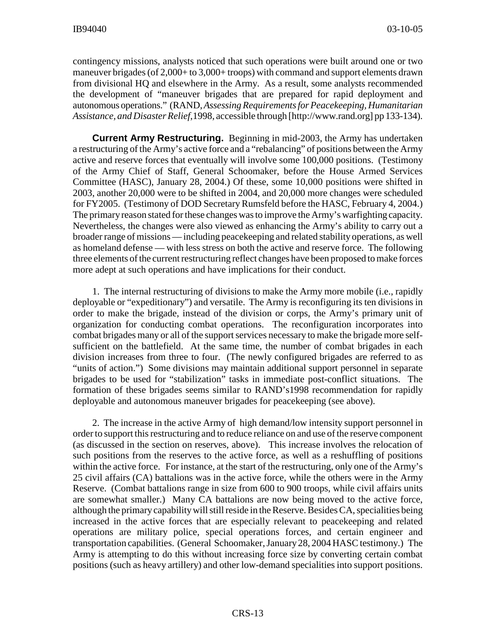contingency missions, analysts noticed that such operations were built around one or two maneuver brigades (of 2,000+ to 3,000+ troops) with command and support elements drawn from divisional HQ and elsewhere in the Army. As a result, some analysts recommended the development of "maneuver brigades that are prepared for rapid deployment and autonomous operations." (RAND, *Assessing Requirements for Peacekeeping, Humanitarian Assistance, and Disaster Relief*,1998, accessible through [http://www.rand.org] pp 133-134).

**Current Army Restructuring.** Beginning in mid-2003, the Army has undertaken a restructuring of the Army's active force and a "rebalancing" of positions between the Army active and reserve forces that eventually will involve some 100,000 positions. (Testimony of the Army Chief of Staff, General Schoomaker, before the House Armed Services Committee (HASC), January 28, 2004.) Of these, some 10,000 positions were shifted in 2003, another 20,000 were to be shifted in 2004, and 20,000 more changes were scheduled for FY2005. (Testimony of DOD Secretary Rumsfeld before the HASC, February 4, 2004.) The primary reason stated for these changes was to improve the Army's warfighting capacity. Nevertheless, the changes were also viewed as enhancing the Army's ability to carry out a broader range of missions — including peacekeeping and related stability operations, as well as homeland defense — with less stress on both the active and reserve force. The following three elements of the current restructuring reflect changes have been proposed to make forces more adept at such operations and have implications for their conduct.

1. The internal restructuring of divisions to make the Army more mobile (i.e., rapidly deployable or "expeditionary") and versatile. The Army is reconfiguring its ten divisions in order to make the brigade, instead of the division or corps, the Army's primary unit of organization for conducting combat operations. The reconfiguration incorporates into combat brigades many or all of the support services necessary to make the brigade more selfsufficient on the battlefield. At the same time, the number of combat brigades in each division increases from three to four. (The newly configured brigades are referred to as "units of action.") Some divisions may maintain additional support personnel in separate brigades to be used for "stabilization" tasks in immediate post-conflict situations. The formation of these brigades seems similar to RAND's1998 recommendation for rapidly deployable and autonomous maneuver brigades for peacekeeping (see above).

2. The increase in the active Army of high demand/low intensity support personnel in order to support this restructuring and to reduce reliance on and use of the reserve component (as discussed in the section on reserves, above). This increase involves the relocation of such positions from the reserves to the active force, as well as a reshuffling of positions within the active force. For instance, at the start of the restructuring, only one of the Army's 25 civil affairs (CA) battalions was in the active force, while the others were in the Army Reserve. (Combat battalions range in size from 600 to 900 troops, while civil affairs units are somewhat smaller.) Many CA battalions are now being moved to the active force, although the primary capability will still reside in the Reserve. Besides CA, specialities being increased in the active forces that are especially relevant to peacekeeping and related operations are military police, special operations forces, and certain engineer and transportation capabilities. (General Schoomaker, January 28, 2004 HASC testimony.) The Army is attempting to do this without increasing force size by converting certain combat positions (such as heavy artillery) and other low-demand specialities into support positions.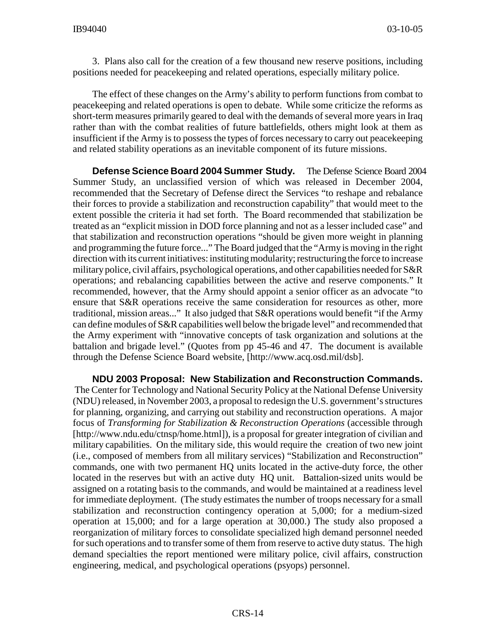3. Plans also call for the creation of a few thousand new reserve positions, including positions needed for peacekeeping and related operations, especially military police.

The effect of these changes on the Army's ability to perform functions from combat to peacekeeping and related operations is open to debate. While some criticize the reforms as short-term measures primarily geared to deal with the demands of several more years in Iraq rather than with the combat realities of future battlefields, others might look at them as insufficient if the Army is to possess the types of forces necessary to carry out peacekeeping and related stability operations as an inevitable component of its future missions.

**Defense Science Board 2004 Summer Study.** The Defense Science Board 2004 Summer Study, an unclassified version of which was released in December 2004, recommended that the Secretary of Defense direct the Services "to reshape and rebalance their forces to provide a stabilization and reconstruction capability" that would meet to the extent possible the criteria it had set forth. The Board recommended that stabilization be treated as an "explicit mission in DOD force planning and not as a lesser included case" and that stabilization and reconstruction operations "should be given more weight in planning and programming the future force..." The Board judged that the "Army is moving in the right direction with its current initiatives: instituting modularity; restructuring the force to increase military police, civil affairs, psychological operations, and other capabilities needed for S&R operations; and rebalancing capabilities between the active and reserve components." It recommended, however, that the Army should appoint a senior officer as an advocate "to ensure that S&R operations receive the same consideration for resources as other, more traditional, mission areas..." It also judged that S&R operations would benefit "if the Army can define modules of S&R capabilities well below the brigade level" and recommended that the Army experiment with "innovative concepts of task organization and solutions at the battalion and brigade level." (Quotes from pp 45-46 and 47. The document is available through the Defense Science Board website, [http://www.acq.osd.mil/dsb].

**NDU 2003 Proposal: New Stabilization and Reconstruction Commands.** The Center for Technology and National Security Policy at the National Defense University (NDU) released, in November 2003, a proposal to redesign the U.S. government's structures for planning, organizing, and carrying out stability and reconstruction operations. A major focus of *Transforming for Stabilization & Reconstruction Operations* (accessible through [http://www.ndu.edu/ctnsp/home.html]), is a proposal for greater integration of civilian and military capabilities. On the military side, this would require the creation of two new joint (i.e., composed of members from all military services) "Stabilization and Reconstruction" commands, one with two permanent HQ units located in the active-duty force, the other located in the reserves but with an active duty HQ unit. Battalion-sized units would be assigned on a rotating basis to the commands, and would be maintained at a readiness level for immediate deployment. (The study estimates the number of troops necessary for a small stabilization and reconstruction contingency operation at 5,000; for a medium-sized operation at 15,000; and for a large operation at 30,000.) The study also proposed a reorganization of military forces to consolidate specialized high demand personnel needed for such operations and to transfer some of them from reserve to active duty status. The high demand specialties the report mentioned were military police, civil affairs, construction engineering, medical, and psychological operations (psyops) personnel.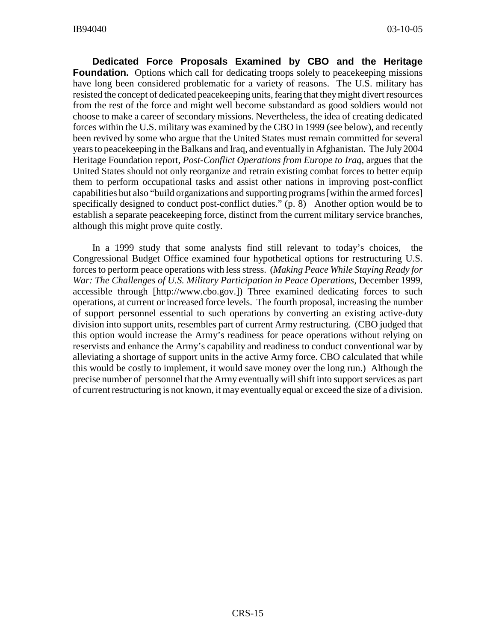**Dedicated Force Proposals Examined by CBO and the Heritage Foundation.** Options which call for dedicating troops solely to peacekeeping missions have long been considered problematic for a variety of reasons. The U.S. military has resisted the concept of dedicated peacekeeping units, fearing that they might divert resources from the rest of the force and might well become substandard as good soldiers would not choose to make a career of secondary missions. Nevertheless, the idea of creating dedicated forces within the U.S. military was examined by the CBO in 1999 (see below), and recently been revived by some who argue that the United States must remain committed for several years to peacekeeping in the Balkans and Iraq, and eventually in Afghanistan. The July 2004 Heritage Foundation report, *Post-Conflict Operations from Europe to Iraq*, argues that the United States should not only reorganize and retrain existing combat forces to better equip them to perform occupational tasks and assist other nations in improving post-conflict capabilities but also "build organizations and supporting programs [within the armed forces] specifically designed to conduct post-conflict duties." (p. 8) Another option would be to establish a separate peacekeeping force, distinct from the current military service branches, although this might prove quite costly.

In a 1999 study that some analysts find still relevant to today's choices, the Congressional Budget Office examined four hypothetical options for restructuring U.S. forces to perform peace operations with less stress. (*Making Peace While Staying Ready for War: The Challenges of U.S. Military Participation in Peace Operations,* December 1999, accessible through [http://www.cbo.gov.]) Three examined dedicating forces to such operations, at current or increased force levels. The fourth proposal, increasing the number of support personnel essential to such operations by converting an existing active-duty division into support units, resembles part of current Army restructuring. (CBO judged that this option would increase the Army's readiness for peace operations without relying on reservists and enhance the Army's capability and readiness to conduct conventional war by alleviating a shortage of support units in the active Army force. CBO calculated that while this would be costly to implement, it would save money over the long run.) Although the precise number of personnel that the Army eventually will shift into support services as part of current restructuring is not known, it may eventually equal or exceed the size of a division.